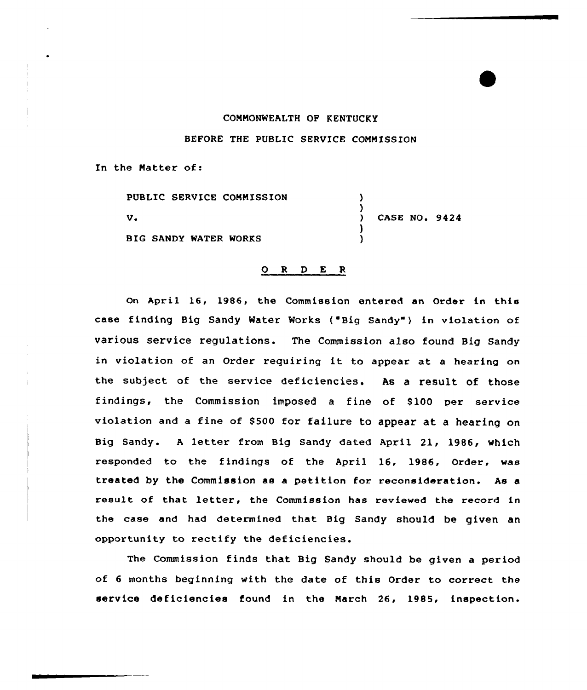## CONNONWEALTH OP KENTUCKY BEFORE THE PUBLIC SERVICE CONMISSION

In the Natter of:

PUBLIC SERVICE COMMISSION ) )<br>) v. CASE NO. 9424 ) BIG SANDY WATER WORKS )

## 0 <sup>R</sup> <sup>D</sup> E <sup>R</sup>

On April 16, 1986, the Commission entered an Order in this case finding Big Sandy Water Works {"Big Sandy" ) in violation of various service regulations. The Commission also found Big Sandy in violation of an Order requiring it to appear at <sup>a</sup> hearing on the subject of the service deficiencies. As a result of those findings, the Commission imposed a fine of 8100 per service violation and a fine of \$500 for failure to appear at a hearing on Big Sandy. A letter from Big Sandy dated April 21, 1986, which responded to the findings of the April 16, 1986, Order, was treated by the Commission as a petition for reconsideration. As a result of that letter, the Commission has reviewed the record in the case and had determined that Big Sandy should be given an opportunity to rectify the deficiencies.

The Commission finds that Big Sandy should be given a period of <sup>6</sup> months beginning with the date of this Order to correct the service deficiencies found in the Narch 26, 1985, inspection.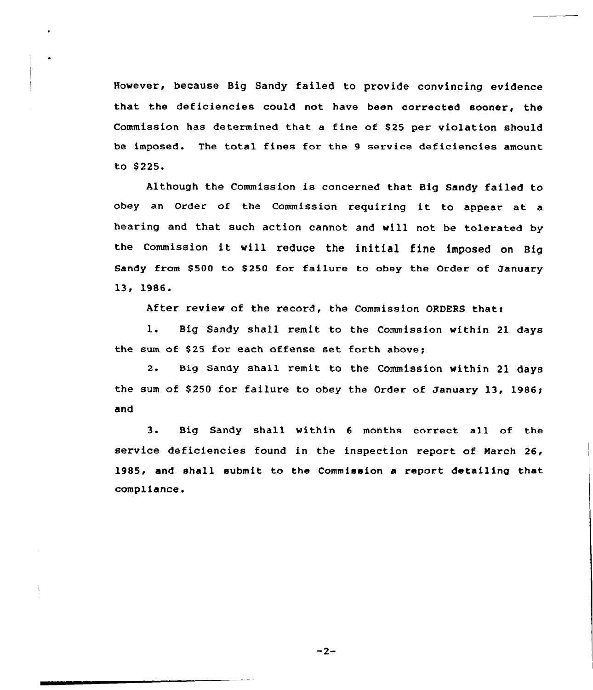However, because Big Sandy failed to provide convincing evidence that the deficiencies could not have been corrected sooner, the Commission has determined that a fine of \$25 per violation should be imposed. The total fines for the 9 service deficiencies amount to \$ 225.

Although the Commission is concerned that Big Sandy failed to obey an Order of the Commission requiring it to appear at <sup>a</sup> hearing and that such action cannot and will not be tolerated by the Commission it will reduce the initial fine imposed on Big Sandy from \$500 to \$250 for failure to obey the Order of January 13. 1986.

After review of the record, the Commission ORDERS that:

1. Big Sandy shall remit to the Commission within 21 days the sum of \$25 for each offense set forth above:

2. Big Sandy shall remit to the Commission within 21 days the sum of \$250 for failure to obey the Order of January 13, 1986; and

3. Big Sandy shall within <sup>6</sup> months correct all of the service deficiencies found in the inspection report of March 26, 1985, and shall submit to the Commission a report detailing that compliance.

 $-2-$